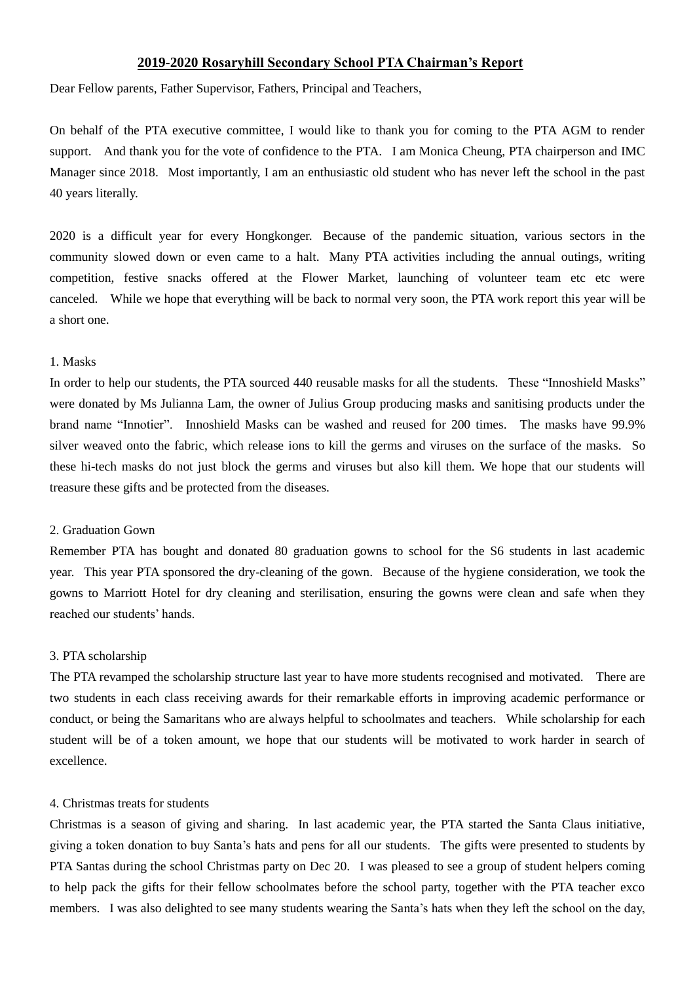## **2019-2020 Rosaryhill Secondary School PTA Chairman's Report**

Dear Fellow parents, Father Supervisor, Fathers, Principal and Teachers,

On behalf of the PTA executive committee, I would like to thank you for coming to the PTA AGM to render support. And thank you for the vote of confidence to the PTA. I am Monica Cheung, PTA chairperson and IMC Manager since 2018. Most importantly, I am an enthusiastic old student who has never left the school in the past 40 years literally.

2020 is a difficult year for every Hongkonger. Because of the pandemic situation, various sectors in the community slowed down or even came to a halt. Many PTA activities including the annual outings, writing competition, festive snacks offered at the Flower Market, launching of volunteer team etc etc were canceled. While we hope that everything will be back to normal very soon, the PTA work report this year will be a short one.

#### 1. Masks

In order to help our students, the PTA sourced 440 reusable masks for all the students. These "Innoshield Masks" were donated by Ms Julianna Lam, the owner of Julius Group producing masks and sanitising products under the brand name "Innotier". Innoshield Masks can be washed and reused for 200 times. The masks have 99.9% silver weaved onto the fabric, which release ions to kill the germs and viruses on the surface of the masks. So these hi-tech masks do not just block the germs and viruses but also kill them. We hope that our students will treasure these gifts and be protected from the diseases.

## 2. Graduation Gown

Remember PTA has bought and donated 80 graduation gowns to school for the S6 students in last academic year. This year PTA sponsored the dry-cleaning of the gown. Because of the hygiene consideration, we took the gowns to Marriott Hotel for dry cleaning and sterilisation, ensuring the gowns were clean and safe when they reached our students' hands.

#### 3. PTA scholarship

The PTA revamped the scholarship structure last year to have more students recognised and motivated. There are two students in each class receiving awards for their remarkable efforts in improving academic performance or conduct, or being the Samaritans who are always helpful to schoolmates and teachers. While scholarship for each student will be of a token amount, we hope that our students will be motivated to work harder in search of excellence.

#### 4. Christmas treats for students

Christmas is a season of giving and sharing. In last academic year, the PTA started the Santa Claus initiative, giving a token donation to buy Santa's hats and pens for all our students. The gifts were presented to students by PTA Santas during the school Christmas party on Dec 20. I was pleased to see a group of student helpers coming to help pack the gifts for their fellow schoolmates before the school party, together with the PTA teacher exco members. I was also delighted to see many students wearing the Santa's hats when they left the school on the day,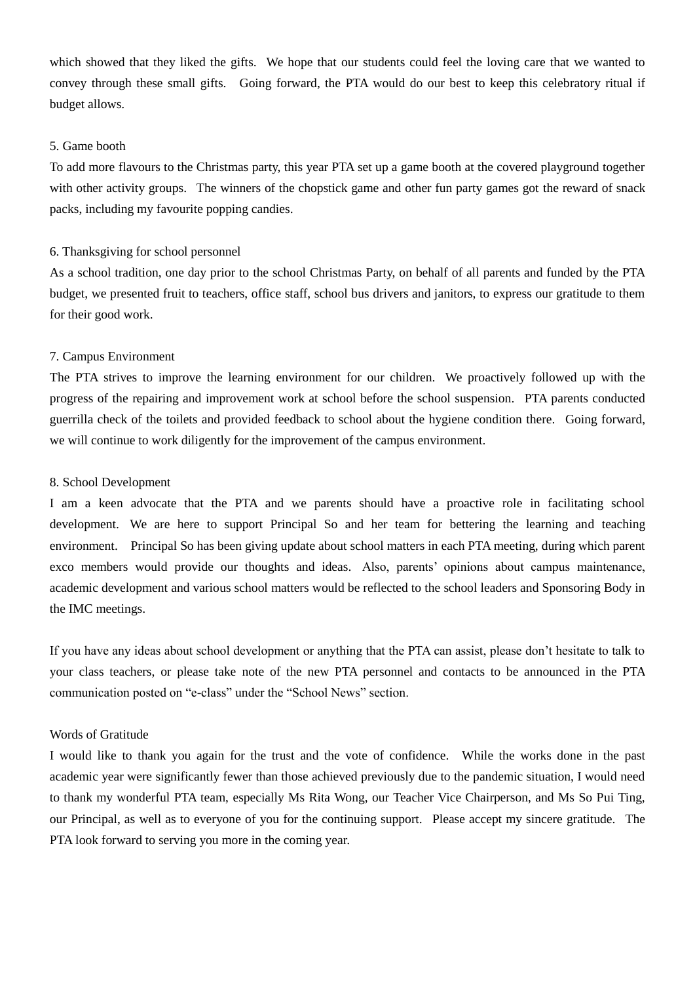which showed that they liked the gifts. We hope that our students could feel the loving care that we wanted to convey through these small gifts. Going forward, the PTA would do our best to keep this celebratory ritual if budget allows.

## 5. Game booth

To add more flavours to the Christmas party, this year PTA set up a game booth at the covered playground together with other activity groups. The winners of the chopstick game and other fun party games got the reward of snack packs, including my favourite popping candies.

#### 6. Thanksgiving for school personnel

As a school tradition, one day prior to the school Christmas Party, on behalf of all parents and funded by the PTA budget, we presented fruit to teachers, office staff, school bus drivers and janitors, to express our gratitude to them for their good work.

### 7. Campus Environment

The PTA strives to improve the learning environment for our children. We proactively followed up with the progress of the repairing and improvement work at school before the school suspension. PTA parents conducted guerrilla check of the toilets and provided feedback to school about the hygiene condition there. Going forward, we will continue to work diligently for the improvement of the campus environment.

#### 8. School Development

I am a keen advocate that the PTA and we parents should have a proactive role in facilitating school development. We are here to support Principal So and her team for bettering the learning and teaching environment. Principal So has been giving update about school matters in each PTA meeting, during which parent exco members would provide our thoughts and ideas. Also, parents' opinions about campus maintenance, academic development and various school matters would be reflected to the school leaders and Sponsoring Body in the IMC meetings.

If you have any ideas about school development or anything that the PTA can assist, please don't hesitate to talk to your class teachers, or please take note of the new PTA personnel and contacts to be announced in the PTA communication posted on "e-class" under the "School News" section.

#### Words of Gratitude

I would like to thank you again for the trust and the vote of confidence. While the works done in the past academic year were significantly fewer than those achieved previously due to the pandemic situation, I would need to thank my wonderful PTA team, especially Ms Rita Wong, our Teacher Vice Chairperson, and Ms So Pui Ting, our Principal, as well as to everyone of you for the continuing support. Please accept my sincere gratitude. The PTA look forward to serving you more in the coming year.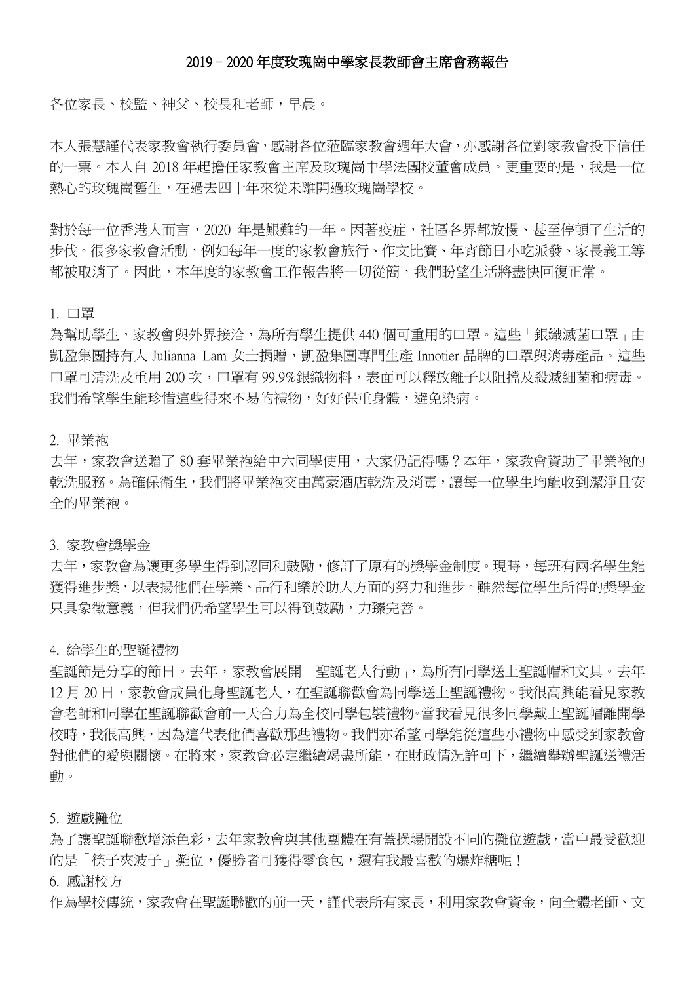### 2019–2020 年度玫瑰崗中學家長教師會主席會務報告

各位家長、校監、神父、校長和老師,早晨。

本人張慧謹代表家教會執行委員會,感謝各位蒞臨家教會週年大會,亦感謝各位對家教會投下信任 的一票。本人自 2018 年起擔任家教會主席及玫瑰崗中學法團校董會成員。更重要的是,我是一位 熱心的玫瑰崗舊生,在過去四十年來從未離開過玫瑰崗學校。

對於每一位香港人而言,2020 年是艱難的一年。因著疫症,社區各界都放慢、甚至停頓了生活的 步伐。很多家教會活動,例如每年一度的家教會旅行、作文比賽、年宵節日小吃派發、家長義工等 都被取消了。因此,本年度的家教會工作報告將一切從簡,我們盼望生活將盡快回復正常。

1. 口罩

為幫助學生,家教會與外界接洽,為所有學生提供 440 個可重用的口罩。這些「銀織滅菌口罩」由 凱盈集團持有人 Julianna Lam 女士捐贈,凱盈集團專門生產 Innotier 品牌的口罩與消毒產品。這些 口罩可清洗及重用 200 次,口罩有 99.9%銀織物料,表面可以釋放離子以阻擋及殺滅細菌和病毒。 我們希望學生能珍惜這些得來不易的禮物,好好保重身體,避免染病。

2. 畢業袍

去年,家教會送贈了 80 套畢業袍給中六同學使用,大家仍記得嗎?本年,家教會資助了畢業袍的 乾洗服務。為確保衛生,我們將畢業袍交由萬豪酒店乾洗及消毒,讓每一位學生均能收到潔淨且安 全的畢業袍。

3. 家教會獎學金

去年,家教會為讓更多學生得到認同和鼓勵,修訂了原有的獎學金制度。現時,每班有兩名學生能 獲得進步獎,以表揚他們在學業、品行和樂於助人方面的努力和進步。雖然每位學生所得的獎學金 只具象徵意義,但我們仍希望學生可以得到鼓勵,力臻完善。

4. 給學生的聖誕禮物

聖誕節是分享的節日。去年,家教會展開「聖誕老人行動」,為所有同學送上聖誕帽和文具。去年 12 月 20 日,家教會成員化身聖誕老人,在聖誕聯歡會為同學送上聖誕禮物。我很高興能看見家教 會老師和同學在聖誕聯歡會前一天合力為全校同學包裝禮物。當我看見很多同學戴上聖誕帽離開學 校時,我很高興,因為這代表他們喜歡那些禮物。我們亦希望同學能從這些小禮物中感受到家教會 對他們的愛與關懷。在將來,家教會必定繼續竭盡所能,在財政情況許可下,繼續舉辦聖誕送禮活 動。

5. 遊戲攤位

為了讓聖誕聯歡增添色彩,去年家教會與其他團體在有蓋操場開設不同的攤位游戲,當中最受歡迎 的是「筷子夾波子」攤位,優勝者可獲得零食包,還有我最喜歡的爆炸糖呢!

6. 感謝校方

作為學校傳統,家教會在聖誕聯歡的前一天,謹代表所有家長,利用家教會資金,向全體老師、文